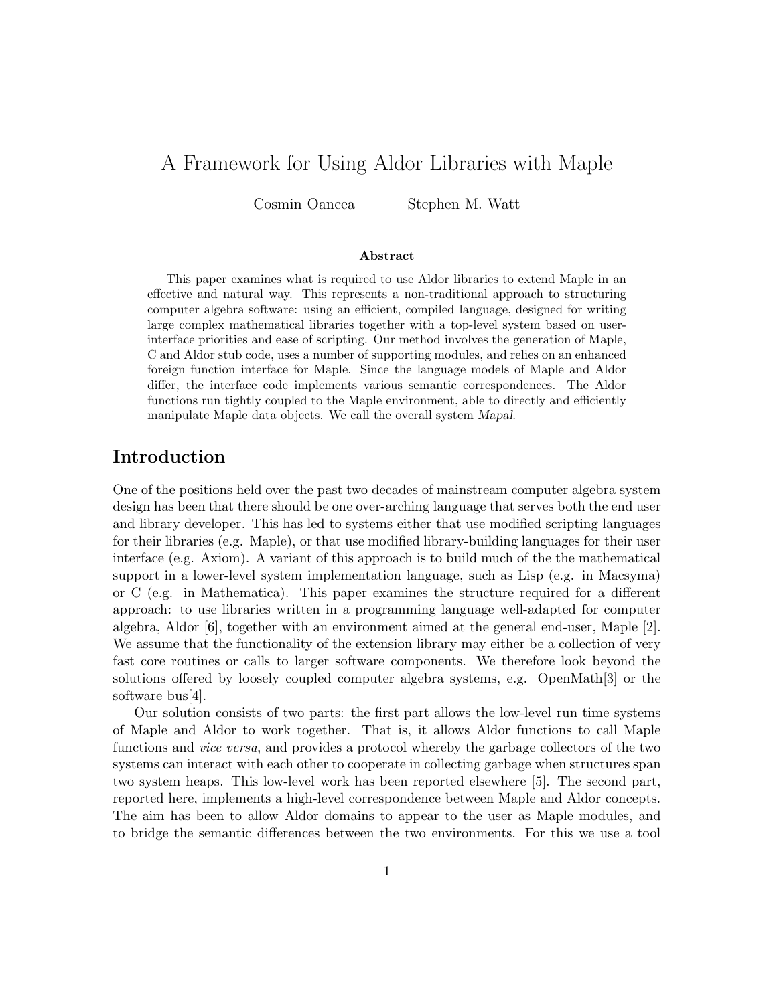# A Framework for Using Aldor Libraries with Maple

Cosmin Oancea Stephen M. Watt

#### **Abstract**

This paper examines what is required to use Aldor libraries to extend Maple in an effective and natural way. This represents a non-traditional approach to structuring computer algebra software: using an efficient, compiled language, designed for writing large complex mathematical libraries together with a top-level system based on userinterface priorities and ease of scripting. Our method involves the generation of Maple, C and Aldor stub code, uses a number of supporting modules, and relies on an enhanced foreign function interface for Maple. Since the language models of Maple and Aldor differ, the interface code implements various semantic correspondences. The Aldor functions run tightly coupled to the Maple environment, able to directly and efficiently manipulate Maple data objects. We call the overall system *Mapal*.

## **Introduction**

One of the positions held over the past two decades of mainstream computer algebra system design has been that there should be one over-arching language that serves both the end user and library developer. This has led to systems either that use modified scripting languages for their libraries (e.g. Maple), or that use modified library-building languages for their user interface (e.g. Axiom). A variant of this approach is to build much of the the mathematical support in a lower-level system implementation language, such as Lisp (e.g. in Macsyma) or C (e.g. in Mathematica). This paper examines the structure required for a different approach: to use libraries written in a programming language well-adapted for computer algebra, Aldor [6], together with an environment aimed at the general end-user, Maple [2]. We assume that the functionality of the extension library may either be a collection of very fast core routines or calls to larger software components. We therefore look beyond the solutions offered by loosely coupled computer algebra systems, e.g. OpenMath[3] or the software bus[4].

Our solution consists of two parts: the first part allows the low-level run time systems of Maple and Aldor to work together. That is, it allows Aldor functions to call Maple functions and *vice versa*, and provides a protocol whereby the garbage collectors of the two systems can interact with each other to cooperate in collecting garbage when structures span two system heaps. This low-level work has been reported elsewhere [5]. The second part, reported here, implements a high-level correspondence between Maple and Aldor concepts. The aim has been to allow Aldor domains to appear to the user as Maple modules, and to bridge the semantic differences between the two environments. For this we use a tool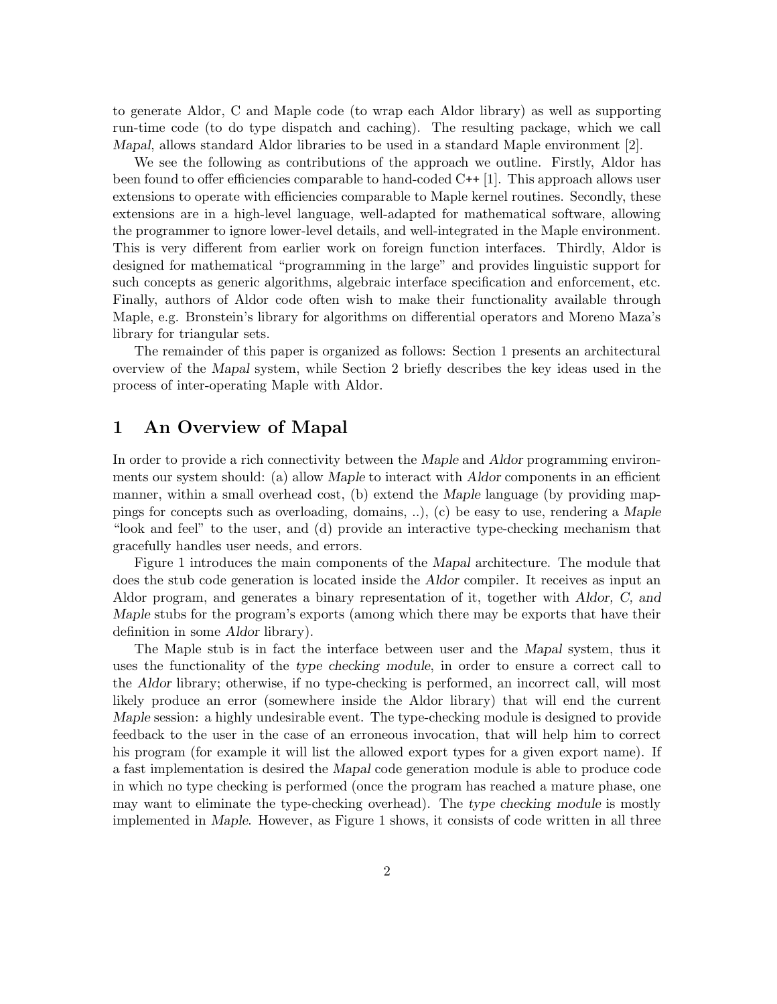to generate Aldor, C and Maple code (to wrap each Aldor library) as well as supporting run-time code (to do type dispatch and caching). The resulting package, which we call *Mapal*, allows standard Aldor libraries to be used in a standard Maple environment [2].

We see the following as contributions of the approach we outline. Firstly, Aldor has been found to offer efficiencies comparable to hand-coded C++ [1]. This approach allows user extensions to operate with efficiencies comparable to Maple kernel routines. Secondly, these extensions are in a high-level language, well-adapted for mathematical software, allowing the programmer to ignore lower-level details, and well-integrated in the Maple environment. This is very different from earlier work on foreign function interfaces. Thirdly, Aldor is designed for mathematical "programming in the large" and provides linguistic support for such concepts as generic algorithms, algebraic interface specification and enforcement, etc. Finally, authors of Aldor code often wish to make their functionality available through Maple, e.g. Bronstein's library for algorithms on differential operators and Moreno Maza's library for triangular sets.

The remainder of this paper is organized as follows: Section 1 presents an architectural overview of the *Mapal* system, while Section 2 briefly describes the key ideas used in the process of inter-operating Maple with Aldor.

## **1 An Overview of Mapal**

In order to provide a rich connectivity between the *Maple* and *Aldor* programming environments our system should: (a) allow *Maple* to interact with *Aldor* components in an efficient manner, within a small overhead cost, (b) extend the *Maple* language (by providing mappings for concepts such as overloading, domains, ..), (c) be easy to use, rendering a *Maple* "look and feel" to the user, and (d) provide an interactive type-checking mechanism that gracefully handles user needs, and errors.

Figure 1 introduces the main components of the *Mapal* architecture. The module that does the stub code generation is located inside the *Aldor* compiler. It receives as input an Aldor program, and generates a binary representation of it, together with *Aldor, C, and Maple* stubs for the program's exports (among which there may be exports that have their definition in some *Aldor* library).

The Maple stub is in fact the interface between user and the *Mapal* system, thus it uses the functionality of the *type checking module*, in order to ensure a correct call to the *Aldor* library; otherwise, if no type-checking is performed, an incorrect call, will most likely produce an error (somewhere inside the Aldor library) that will end the current *Maple* session: a highly undesirable event. The type-checking module is designed to provide feedback to the user in the case of an erroneous invocation, that will help him to correct his program (for example it will list the allowed export types for a given export name). If a fast implementation is desired the *Mapal* code generation module is able to produce code in which no type checking is performed (once the program has reached a mature phase, one may want to eliminate the type-checking overhead). The *type checking module* is mostly implemented in *Maple*. However, as Figure 1 shows, it consists of code written in all three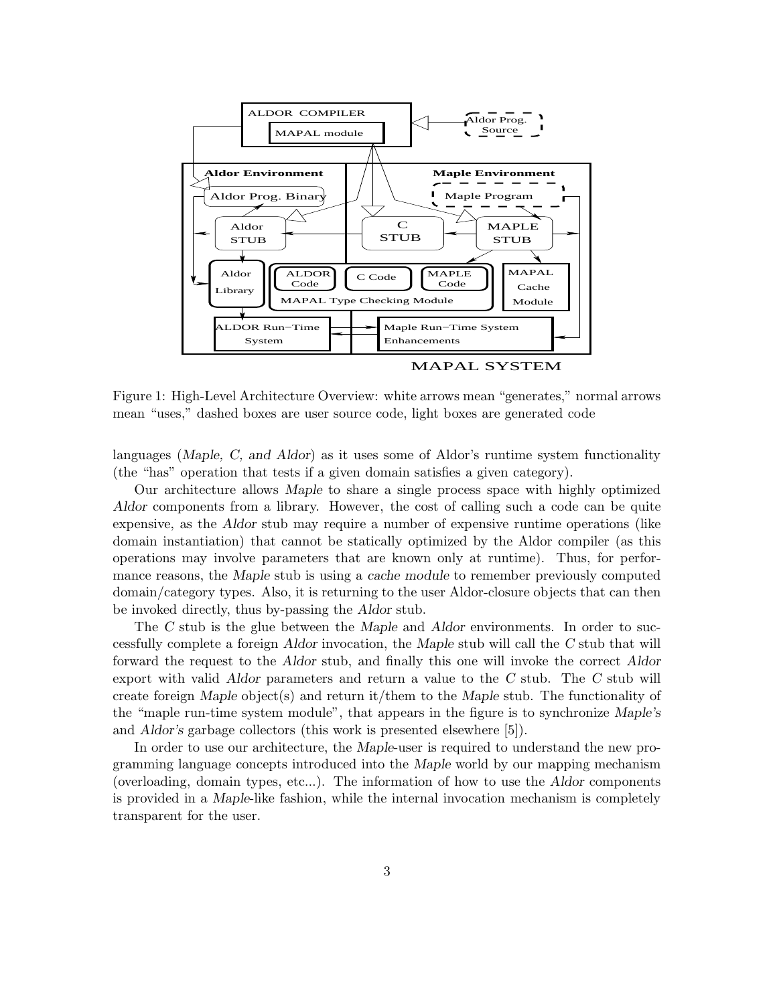

MAPAL SYSTEM

Figure 1: High-Level Architecture Overview: white arrows mean "generates," normal arrows mean "uses," dashed boxes are user source code, light boxes are generated code

languages (*Maple, C, and Aldor*) as it uses some of Aldor's runtime system functionality (the "has" operation that tests if a given domain satisfies a given category).

Our architecture allows *Maple* to share a single process space with highly optimized *Aldor* components from a library. However, the cost of calling such a code can be quite expensive, as the *Aldor* stub may require a number of expensive runtime operations (like domain instantiation) that cannot be statically optimized by the Aldor compiler (as this operations may involve parameters that are known only at runtime). Thus, for performance reasons, the *Maple* stub is using a *cache module* to remember previously computed domain/category types. Also, it is returning to the user Aldor-closure objects that can then be invoked directly, thus by-passing the *Aldor* stub.

The *C* stub is the glue between the *Maple* and *Aldor* environments. In order to successfully complete a foreign *Aldor* invocation, the *Maple* stub will call the *C* stub that will forward the request to the *Aldor* stub, and finally this one will invoke the correct *Aldor* export with valid *Aldor* parameters and return a value to the *C* stub. The *C* stub will create foreign *Maple* object(s) and return it/them to the *Maple* stub. The functionality of the "maple run-time system module", that appears in the figure is to synchronize *Maple's* and *Aldor's* garbage collectors (this work is presented elsewhere [5]).

In order to use our architecture, the *Maple*-user is required to understand the new programming language concepts introduced into the *Maple* world by our mapping mechanism (overloading, domain types, etc...). The information of how to use the *Aldor* components is provided in a *Maple*-like fashion, while the internal invocation mechanism is completely transparent for the user.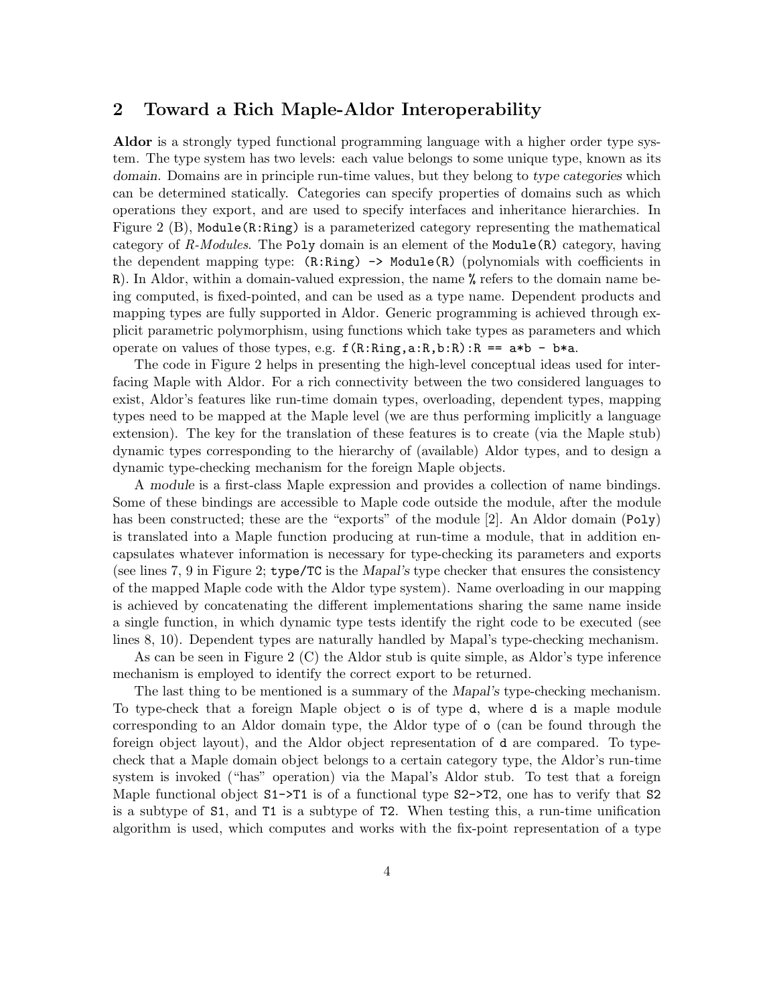#### **2 Toward a Rich Maple-Aldor Interoperability**

**Aldor** is a strongly typed functional programming language with a higher order type system. The type system has two levels: each value belongs to some unique type, known as its *domain*. Domains are in principle run-time values, but they belong to *type categories* which can be determined statically. Categories can specify properties of domains such as which operations they export, and are used to specify interfaces and inheritance hierarchies. In Figure 2 (B), Module(R:Ring) is a parameterized category representing the mathematical category of *R-Modules*. The Poly domain is an element of the Module(R) category, having the dependent mapping type:  $(R: Ring) \rightarrow Module(R)$  (polynomials with coefficients in R). In Aldor, within a domain-valued expression, the name  $\%$  refers to the domain name being computed, is fixed-pointed, and can be used as a type name. Dependent products and mapping types are fully supported in Aldor. Generic programming is achieved through explicit parametric polymorphism, using functions which take types as parameters and which operate on values of those types, e.g.  $f(R: Ring, a:R, b:R):R == a*b - b*a$ .

The code in Figure 2 helps in presenting the high-level conceptual ideas used for interfacing Maple with Aldor. For a rich connectivity between the two considered languages to exist, Aldor's features like run-time domain types, overloading, dependent types, mapping types need to be mapped at the Maple level (we are thus performing implicitly a language extension). The key for the translation of these features is to create (via the Maple stub) dynamic types corresponding to the hierarchy of (available) Aldor types, and to design a dynamic type-checking mechanism for the foreign Maple objects.

A *module* is a first-class Maple expression and provides a collection of name bindings. Some of these bindings are accessible to Maple code outside the module, after the module has been constructed; these are the "exports" of the module [2]. An Aldor domain (Poly) is translated into a Maple function producing at run-time a module, that in addition encapsulates whatever information is necessary for type-checking its parameters and exports (see lines 7, 9 in Figure 2; type/TC is the *Mapal's* type checker that ensures the consistency of the mapped Maple code with the Aldor type system). Name overloading in our mapping is achieved by concatenating the different implementations sharing the same name inside a single function, in which dynamic type tests identify the right code to be executed (see lines 8, 10). Dependent types are naturally handled by Mapal's type-checking mechanism.

As can be seen in Figure 2 (C) the Aldor stub is quite simple, as Aldor's type inference mechanism is employed to identify the correct export to be returned.

The last thing to be mentioned is a summary of the *Mapal's* type-checking mechanism. To type-check that a foreign Maple object o is of type d, where d is a maple module corresponding to an Aldor domain type, the Aldor type of o (can be found through the foreign object layout), and the Aldor object representation of d are compared. To typecheck that a Maple domain object belongs to a certain category type, the Aldor's run-time system is invoked ("has" operation) via the Mapal's Aldor stub. To test that a foreign Maple functional object  $S1-\overline{51}$  is of a functional type  $S2-\overline{52}$ , one has to verify that  $S2$ is a subtype of S1, and T1 is a subtype of T2. When testing this, a run-time unification algorithm is used, which computes and works with the fix-point representation of a type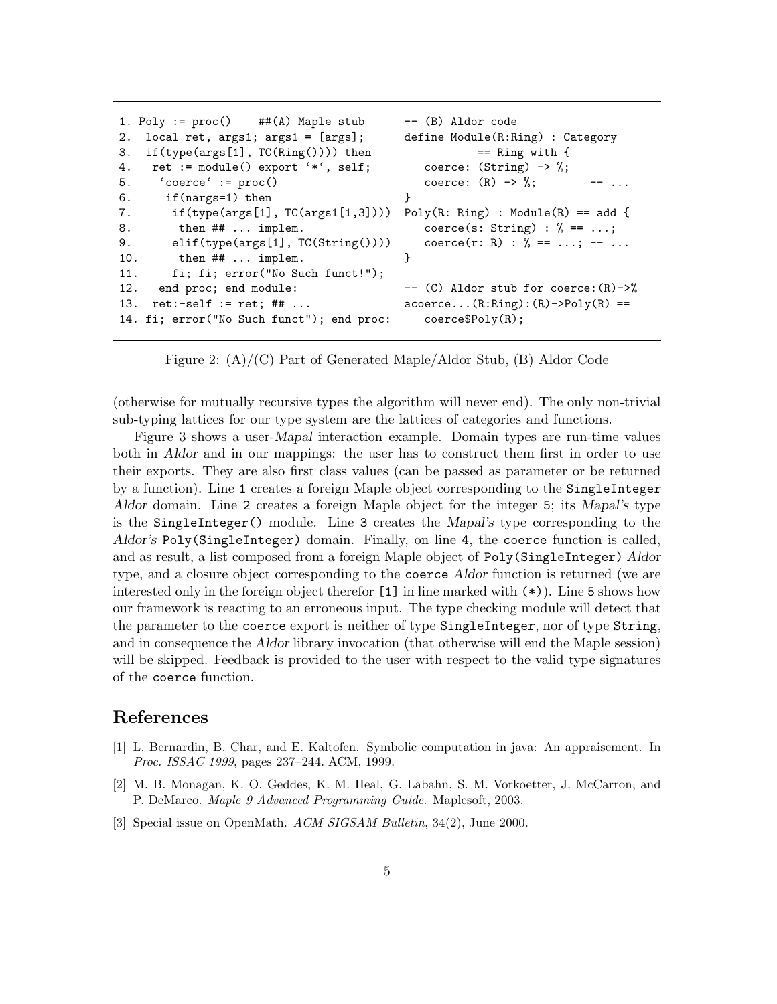```
1. Poly := proc() ##(A) Maple stub --- (B) Aldor code
2. local ret, args1; args1 = [args]; define Module(R:Ring) : Category
3. if(type(args[1], TC(Ring()))) then == Ring with {
4. ret := module() export '*', self; coerce: (String) -> %;
5. 'coerce' := proc() coerce: (R) \rightarrow \frac{9}{6}; -- ...
6. if(nargs=1) then }
7. if(type(args[1], TC(args1[1,3]))) Poly(R: Ring) : Module(R) == add {
8. then \# \# \ldots implem. coerce(s: String) : \% == \ldots;
9. elif(type(args[1], TC(String()))) coerce(r: R) : % = -1...; -- ...
10. then \# ... implem. }
11. fi; fi; error("No Such funct!");
12. end proc; end module: -- (C) Aldor stub for coerce: (R)->%
13. ret:-self := ret; ## ... \qquad \qquad \text{accept}(\text{R:Ring}):\text{(R)->Poly(R)==}14. fi; error("No Such funct"); end proc: coerce$Poly(R);
```
Figure 2: (A)/(C) Part of Generated Maple/Aldor Stub, (B) Aldor Code

(otherwise for mutually recursive types the algorithm will never end). The only non-trivial sub-typing lattices for our type system are the lattices of categories and functions.

Figure 3 shows a user-*Mapal* interaction example. Domain types are run-time values both in *Aldor* and in our mappings: the user has to construct them first in order to use their exports. They are also first class values (can be passed as parameter or be returned by a function). Line 1 creates a foreign Maple object corresponding to the SingleInteger *Aldor* domain. Line 2 creates a foreign Maple object for the integer 5; its *Mapal's* type is the SingleInteger() module. Line 3 creates the *Mapal's* type corresponding to the *Aldor's* Poly(SingleInteger) domain. Finally, on line 4, the coerce function is called, and as result, a list composed from a foreign Maple object of Poly(SingleInteger) *Aldor* type, and a closure object corresponding to the coerce *Aldor* function is returned (we are interested only in the foreign object therefor [1] in line marked with (\*)). Line 5 shows how our framework is reacting to an erroneous input. The type checking module will detect that the parameter to the coerce export is neither of type SingleInteger, nor of type String, and in consequence the *Aldor* library invocation (that otherwise will end the Maple session) will be skipped. Feedback is provided to the user with respect to the valid type signatures of the coerce function.

#### **References**

- [1] L. Bernardin, B. Char, and E. Kaltofen. Symbolic computation in java: An appraisement. In *Proc. ISSAC 1999*, pages 237–244. ACM, 1999.
- [2] M. B. Monagan, K. O. Geddes, K. M. Heal, G. Labahn, S. M. Vorkoetter, J. McCarron, and P. DeMarco. *Maple 9 Advanced Programming Guide*. Maplesoft, 2003.
- [3] Special issue on OpenMath. *ACM SIGSAM Bulletin*, 34(2), June 2000.